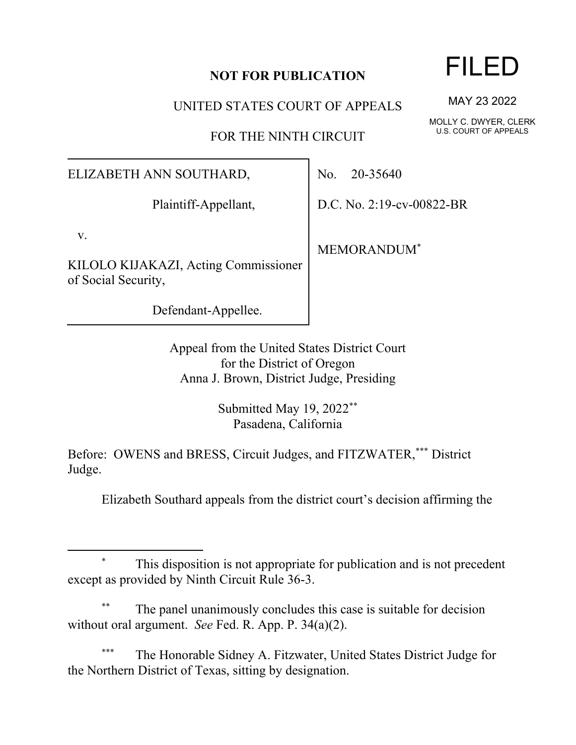## **NOT FOR PUBLICATION**

UNITED STATES COURT OF APPEALS

FOR THE NINTH CIRCUIT

ELIZABETH ANN SOUTHARD,

Plaintiff-Appellant,

v.

KILOLO KIJAKAZI, Acting Commissioner of Social Security,

Defendant-Appellee.

No. 20-35640

D.C. No. 2:19-cv-00822-BR

MEMORANDUM\*

Appeal from the United States District Court for the District of Oregon Anna J. Brown, District Judge, Presiding

> Submitted May 19, 2022\*\* Pasadena, California

Before: OWENS and BRESS, Circuit Judges, and FITZWATER,\*\*\* District Judge.

Elizabeth Southard appeals from the district court's decision affirming the

This disposition is not appropriate for publication and is not precedent except as provided by Ninth Circuit Rule 36-3.

The panel unanimously concludes this case is suitable for decision without oral argument. *See* Fed. R. App. P. 34(a)(2).

The Honorable Sidney A. Fitzwater, United States District Judge for the Northern District of Texas, sitting by designation.

## FILED

MAY 23 2022

MOLLY C. DWYER, CLERK U.S. COURT OF APPEALS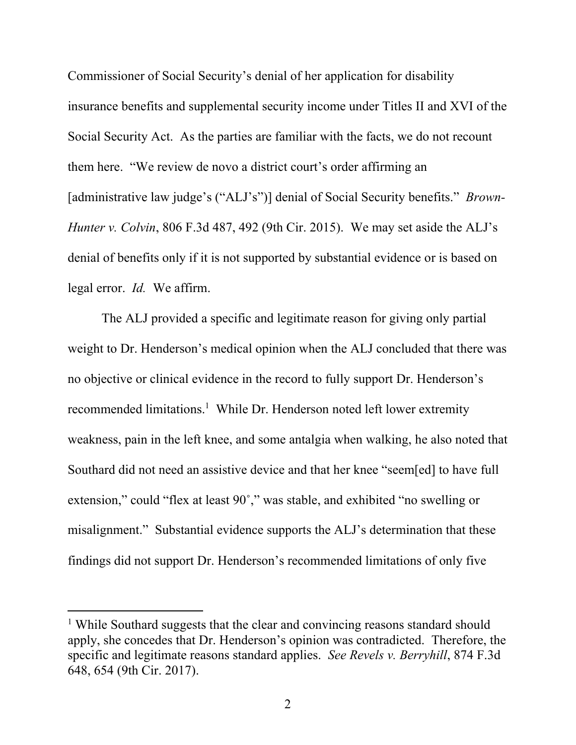Commissioner of Social Security's denial of her application for disability insurance benefits and supplemental security income under Titles II and XVI of the Social Security Act. As the parties are familiar with the facts, we do not recount them here. "We review de novo a district court's order affirming an [administrative law judge's ("ALJ's")] denial of Social Security benefits." *Brown-Hunter v. Colvin*, 806 F.3d 487, 492 (9th Cir. 2015). We may set aside the ALJ's denial of benefits only if it is not supported by substantial evidence or is based on legal error. *Id.* We affirm.

The ALJ provided a specific and legitimate reason for giving only partial weight to Dr. Henderson's medical opinion when the ALJ concluded that there was no objective or clinical evidence in the record to fully support Dr. Henderson's recommended limitations.<sup>1</sup> While Dr. Henderson noted left lower extremity weakness, pain in the left knee, and some antalgia when walking, he also noted that Southard did not need an assistive device and that her knee "seem[ed] to have full extension," could "flex at least 90˚," was stable, and exhibited "no swelling or misalignment." Substantial evidence supports the ALJ's determination that these findings did not support Dr. Henderson's recommended limitations of only five

<sup>&</sup>lt;sup>1</sup> While Southard suggests that the clear and convincing reasons standard should apply, she concedes that Dr. Henderson's opinion was contradicted. Therefore, the specific and legitimate reasons standard applies. *See Revels v. Berryhill*, 874 F.3d 648, 654 (9th Cir. 2017).